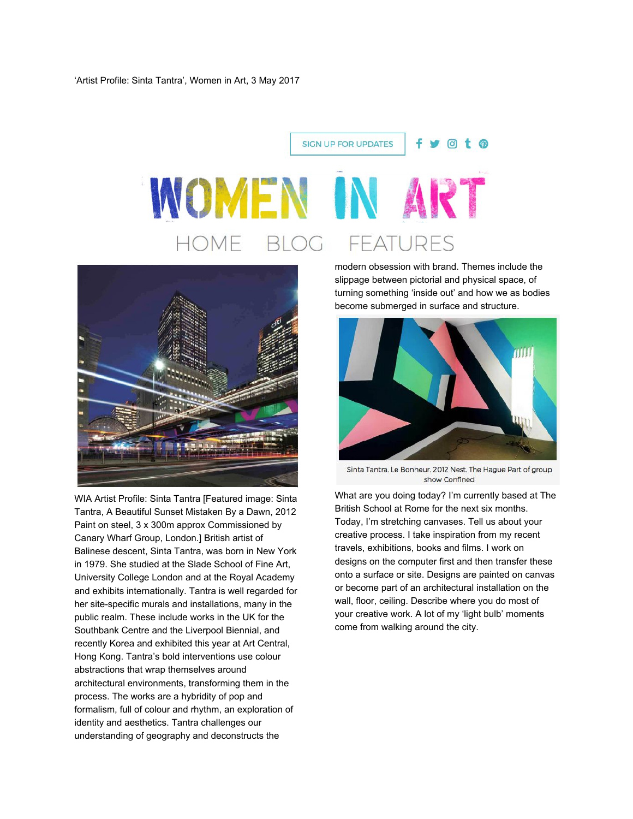## WOMEN IN ART **FEATURES** HOME BLOG

**SIGN UP FOR UPDATES** 



WIA Artist Profile: Sinta Tantra [Featured image: Sinta Tantra, A Beautiful Sunset Mistaken By a Dawn, 2012 Paint on steel, 3 x 300m approx Commissioned by Canary Wharf Group, London.] British artist of Balinese descent, Sinta Tantra, was born in New York in 1979. She studied at the Slade School of Fine Art, University College London and at the Royal Academy and exhibits internationally. Tantra is well regarded for her site-specific murals and installations, many in the public realm. These include works in the UK for the Southbank Centre and the Liverpool Biennial, and recently Korea and exhibited this year at Art Central, Hong Kong. Tantra's bold interventions use colour abstractions that wrap themselves around architectural environments, transforming them in the process. The works are a hybridity of pop and formalism, full of colour and rhythm, an exploration of identity and aesthetics. Tantra challenges our understanding of geography and deconstructs the

modern obsession with brand. Themes include the slippage between pictorial and physical space, of turning something 'inside out' and how we as bodies become submerged in surface and structure.

 $y$  ot o



Sinta Tantra, Le Bonheur, 2012 Nest, The Hague Part of group show Confined

What are you doing today? I'm currently based at The British School at Rome for the next six months. Today, I'm stretching canvases. Tell us about your creative process. I take inspiration from my recent travels, exhibitions, books and films. I work on designs on the computer first and then transfer these onto a surface or site. Designs are painted on canvas or become part of an architectural installation on the wall, floor, ceiling. Describe where you do most of your creative work. A lot of my 'light bulb' moments come from walking around the city.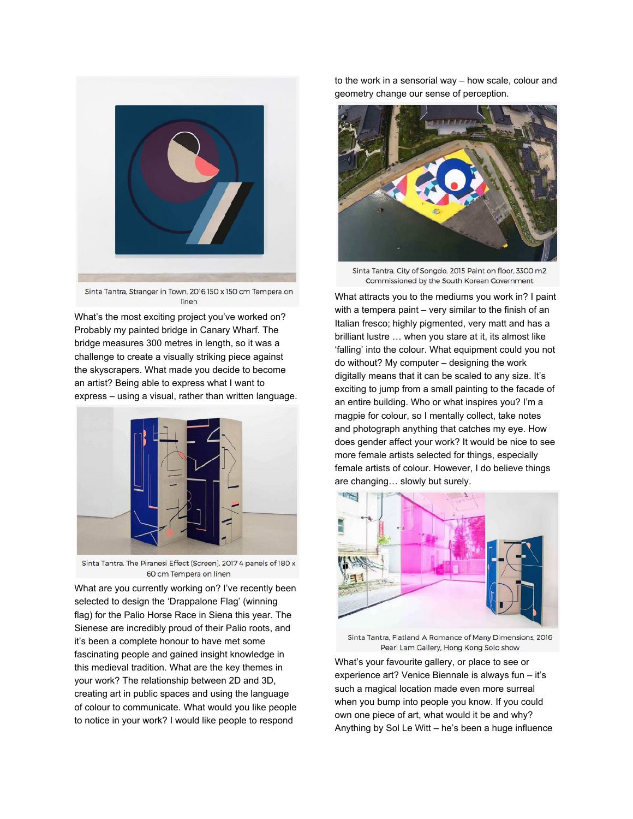

Sinta Tantra, Stranger in Town, 2016 150 x 150 cm Tempera on linen

What's the most exciting project you've worked on? Probably my painted bridge in Canary Wharf. The bridge measures 300 metres in length, so it was a challenge to create a visually striking piece against the skyscrapers. What made you decide to become an artist? Being able to express what I want to express – using a visual, rather than written language.



Sinta Tantra, The Piranesi Effect (Screen), 2017 4 panels of 180 x 60 cm Tempera on linen

What are you currently working on? I've recently been selected to design the 'Drappalone Flag' (winning flag) for the Palio Horse Race in Siena this year. The Sienese are incredibly proud of their Palio roots, and it's been a complete honour to have met some fascinating people and gained insight knowledge in this medieval tradition. What are the key themes in your work? The relationship between 2D and 3D, creating art in public spaces and using the language of colour to communicate. What would you like people to notice in your work? I would like people to respond

to the work in a sensorial way – how scale, colour and geometry change our sense of perception.



Sinta Tantra, City of Songdo, 2015 Paint on floor, 3300 m2 Commissioned by the South Korean Government

What attracts you to the mediums you work in? I paint with a tempera paint – very similar to the finish of an Italian fresco; highly pigmented, very matt and has a brilliant lustre … when you stare at it, its almost like 'falling' into the colour. What equipment could you not do without? My computer – designing the work digitally means that it can be scaled to any size. It's exciting to jump from a small painting to the facade of an entire building. Who or what inspires you? I'm a magpie for colour, so I mentally collect, take notes and photograph anything that catches my eye. How does gender affect your work? It would be nice to see more female artists selected for things, especially female artists of colour. However, I do believe things are changing… slowly but surely.



Sinta Tantra, Flatland A Romance of Many Dimensions, 2016 Pearl Lam Callery, Hong Kong Solo show

What's your favourite gallery, or place to see or experience art? Venice Biennale is always fun – it's such a magical location made even more surreal when you bump into people you know. If you could own one piece of art, what would it be and why? Anything by Sol Le Witt – he's been a huge influence